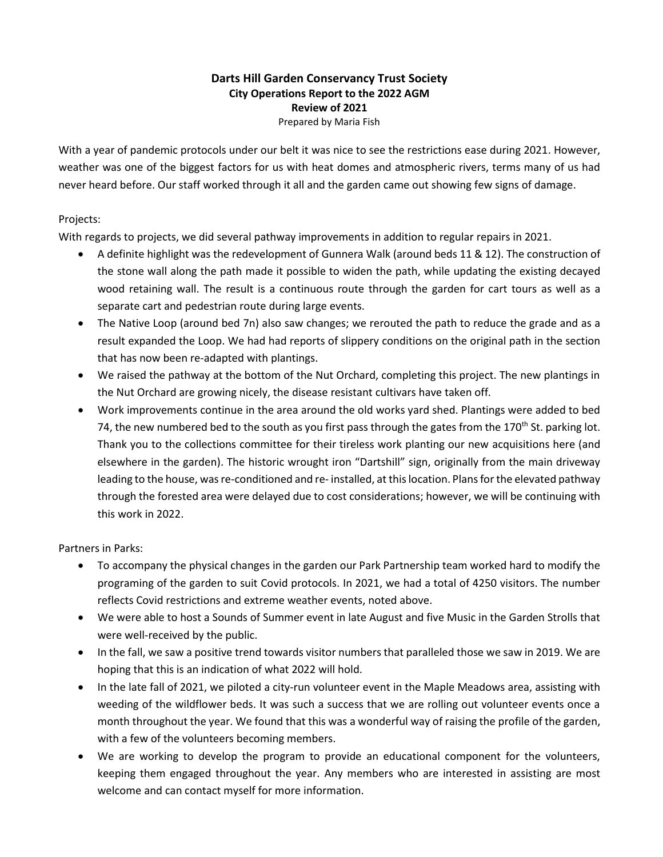## **Darts Hill Garden Conservancy Trust Society City Operations Report to the 2022 AGM Review of 2021**

Prepared by Maria Fish

With a year of pandemic protocols under our belt it was nice to see the restrictions ease during 2021. However, weather was one of the biggest factors for us with heat domes and atmospheric rivers, terms many of us had never heard before. Our staff worked through it all and the garden came out showing few signs of damage.

## Projects:

With regards to projects, we did several pathway improvements in addition to regular repairs in 2021.

- A definite highlight was the redevelopment of Gunnera Walk (around beds 11 & 12). The construction of the stone wall along the path made it possible to widen the path, while updating the existing decayed wood retaining wall. The result is a continuous route through the garden for cart tours as well as a separate cart and pedestrian route during large events.
- The Native Loop (around bed 7n) also saw changes; we rerouted the path to reduce the grade and as a result expanded the Loop. We had had reports of slippery conditions on the original path in the section that has now been re-adapted with plantings.
- We raised the pathway at the bottom of the Nut Orchard, completing this project. The new plantings in the Nut Orchard are growing nicely, the disease resistant cultivars have taken off.
- Work improvements continue in the area around the old works yard shed. Plantings were added to bed 74, the new numbered bed to the south as you first pass through the gates from the 170<sup>th</sup> St. parking lot. Thank you to the collections committee for their tireless work planting our new acquisitions here (and elsewhere in the garden). The historic wrought iron "Dartshill" sign, originally from the main driveway leading to the house, wasre-conditioned and re- installed, at this location. Plans for the elevated pathway through the forested area were delayed due to cost considerations; however, we will be continuing with this work in 2022.

Partners in Parks:

- To accompany the physical changes in the garden our Park Partnership team worked hard to modify the programing of the garden to suit Covid protocols. In 2021, we had a total of 4250 visitors. The number reflects Covid restrictions and extreme weather events, noted above.
- We were able to host a Sounds of Summer event in late August and five Music in the Garden Strolls that were well-received by the public.
- In the fall, we saw a positive trend towards visitor numbers that paralleled those we saw in 2019. We are hoping that this is an indication of what 2022 will hold.
- In the late fall of 2021, we piloted a city-run volunteer event in the Maple Meadows area, assisting with weeding of the wildflower beds. It was such a success that we are rolling out volunteer events once a month throughout the year. We found that this was a wonderful way of raising the profile of the garden, with a few of the volunteers becoming members.
- We are working to develop the program to provide an educational component for the volunteers, keeping them engaged throughout the year. Any members who are interested in assisting are most welcome and can contact myself for more information.